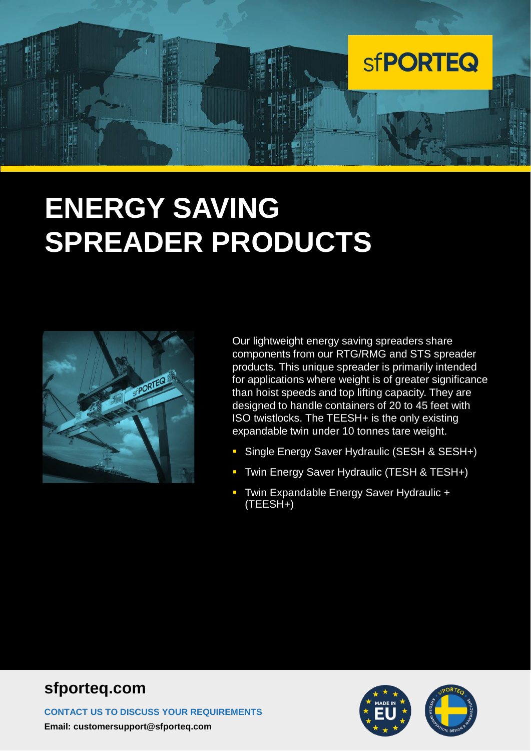

# **ENERGY SAVING SPREADER PRODUCTS**



Our lightweight energy saving spreaders share components from our RTG/RMG and STS spreader products. This unique spreader is primarily intended for applications where weight is of greater significance than hoist speeds and top lifting capacity. They are designed to handle containers of 20 to 45 feet with ISO twistlocks. The TEESH+ is the only existing expandable twin under 10 tonnes tare weight.

- Single Energy Saver Hydraulic (SESH & SESH+)
- **T** Twin Energy Saver Hydraulic (TESH & TESH+)
- **EXPANDIGHT ENERGY Saver Hydraulic +** (TEESH+)

#### **sfporteq.com**

**CONTACT US TO DISCUSS YOUR REQUIREMENTS Email: customersupport@sfporteq.com**

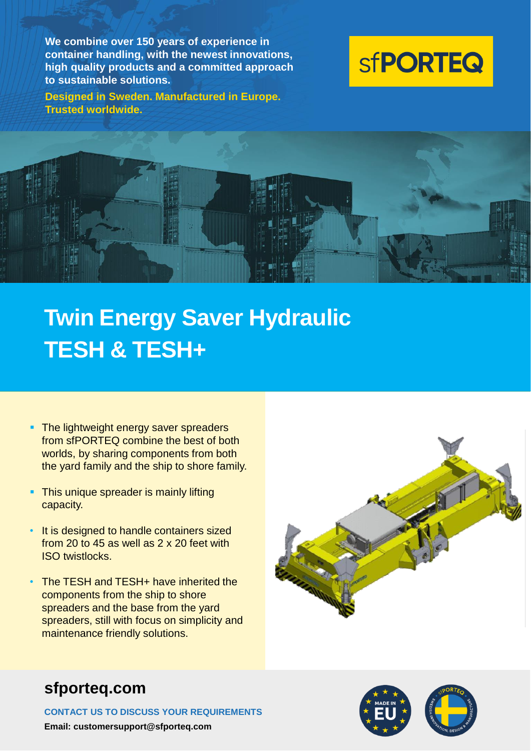**We combine over 150 years of experience in container handling, with the newest innovations, high quality products and a committed approach to sustainable solutions.**

**Designed in Sweden. Manufactured in Europe. Trusted worldwide.**





## **Twin Energy Saver Hydraulic TESH & TESH+**

- **The lightweight energy saver spreaders** from sfPORTEQ combine the best of both worlds, by sharing components from both the yard family and the ship to shore family.
- **This unique spreader is mainly lifting** capacity.
- It is designed to handle containers sized from 20 to 45 as well as 2 x 20 feet with ISO twistlocks.
- The TESH and TESH+ have inherited the components from the ship to shore spreaders and the base from the yard spreaders, still with focus on simplicity and maintenance friendly solutions.





**CONTACT US TO DISCUSS YOUR REQUIREMENTS Email: customersupport@sfporteq.com**